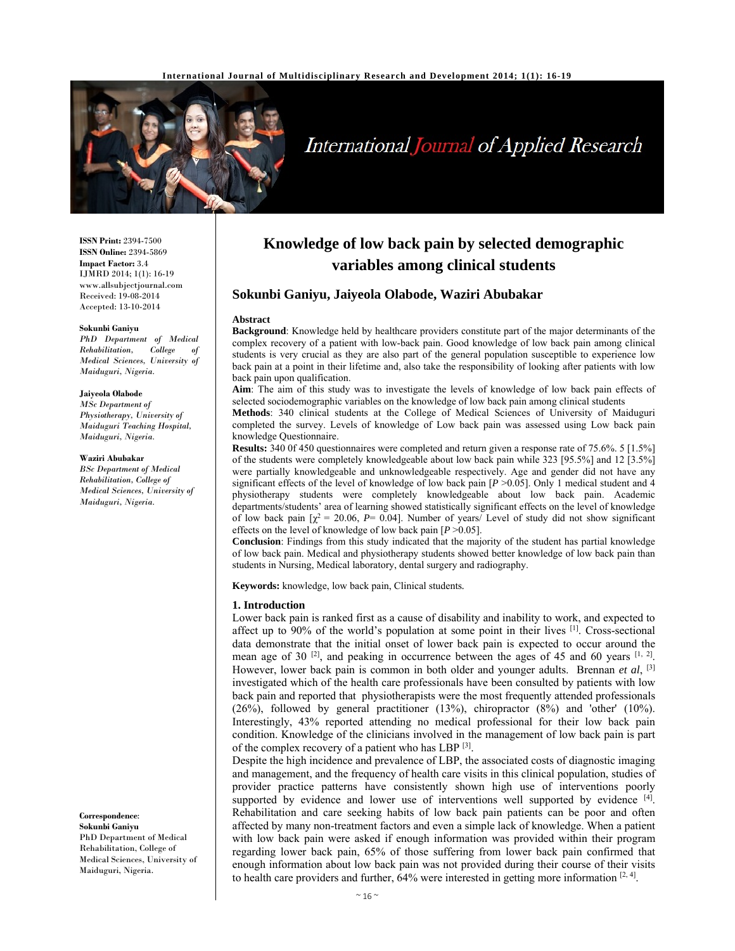

# **International Journal of Applied Research**

**ISSN Print:** 2394-7500 **ISSN Online:** 2394-5869 **Impact Factor:** 3.4 IJMRD 2014; 1(1): 16-19 www.allsubjectjournal.com Received: 19-08-2014 Accepted: 13-10-2014

#### **Sokunbi Ganiyu**

*PhD Department of Medical*   $Rehabilitation$ . *Medical Sciences, University of Maiduguri, Nigeria.* 

#### **Jaiyeola Olabode**

*MSc Department of Physiotherapy, University of Maiduguri Teaching Hospital, Maiduguri, Nigeria.* 

#### **Waziri Abubakar**

*BSc Department of Medical Rehabilitation, College of Medical Sciences, University of Maiduguri, Nigeria.*

**Correspondence**:

**Sokunbi Ganiyu**  PhD Department of Medical Rehabilitation, College of Medical Sciences, University of Maiduguri, Nigeria.

## **Knowledge of low back pain by selected demographic variables among clinical students**

#### **Sokunbi Ganiyu, Jaiyeola Olabode, Waziri Abubakar**

#### **Abstract**

**Background**: Knowledge held by healthcare providers constitute part of the major determinants of the complex recovery of a patient with low-back pain. Good knowledge of low back pain among clinical students is very crucial as they are also part of the general population susceptible to experience low back pain at a point in their lifetime and, also take the responsibility of looking after patients with low back pain upon qualification.

**Aim**: The aim of this study was to investigate the levels of knowledge of low back pain effects of selected sociodemographic variables on the knowledge of low back pain among clinical students

**Methods**: 340 clinical students at the College of Medical Sciences of University of Maiduguri completed the survey. Levels of knowledge of Low back pain was assessed using Low back pain knowledge Questionnaire.

**Results:** 340 0f 450 questionnaires were completed and return given a response rate of 75.6%. 5 [1.5%] of the students were completely knowledgeable about low back pain while 323 [95.5%] and 12 [3.5%] were partially knowledgeable and unknowledgeable respectively. Age and gender did not have any significant effects of the level of knowledge of low back pain [*P* >0.05]. Only 1 medical student and 4 physiotherapy students were completely knowledgeable about low back pain. Academic departments/students' area of learning showed statistically significant effects on the level of knowledge of low back pain  $[\chi^2 = 20.06, P = 0.04]$ . Number of years/ Level of study did not show significant effects on the level of knowledge of low back pain  $[P > 0.05]$ .

**Conclusion**: Findings from this study indicated that the majority of the student has partial knowledge of low back pain. Medical and physiotherapy students showed better knowledge of low back pain than students in Nursing, Medical laboratory, dental surgery and radiography.

**Keywords:** knowledge, low back pain, Clinical students*.* 

#### **1. Introduction**

Lower back pain is ranked first as a cause of disability and inability to work, and expected to affect up to 90% of the world's population at some point in their lives [1]. Cross-sectional data demonstrate that the initial onset of lower back pain is expected to occur around the mean age of 30  $\left[2\right]$ , and peaking in occurrence between the ages of 45 and 60 years  $\left[1, 2\right]$ . However, lower back pain is common in both older and younger adults. Brennan *et al*, [3] investigated which of the health care professionals have been consulted by patients with low back pain and reported that physiotherapists were the most frequently attended professionals (26%), followed by general practitioner (13%), chiropractor (8%) and 'other' (10%). Interestingly, 43% reported attending no medical professional for their low back pain condition. Knowledge of the clinicians involved in the management of low back pain is part of the complex recovery of a patient who has LBP [3].

Despite the high incidence and prevalence of LBP, the associated costs of diagnostic imaging and management, and the frequency of health care visits in this clinical population, studies of provider practice patterns have consistently shown high use of interventions poorly supported by evidence and lower use of interventions well supported by evidence  $[4]$ . Rehabilitation and care seeking habits of low back pain patients can be poor and often affected by many non-treatment factors and even a simple lack of knowledge. When a patient with low back pain were asked if enough information was provided within their program regarding lower back pain, 65% of those suffering from lower back pain confirmed that enough information about low back pain was not provided during their course of their visits to health care providers and further,  $64%$  were interested in getting more information  $[2, 4]$ .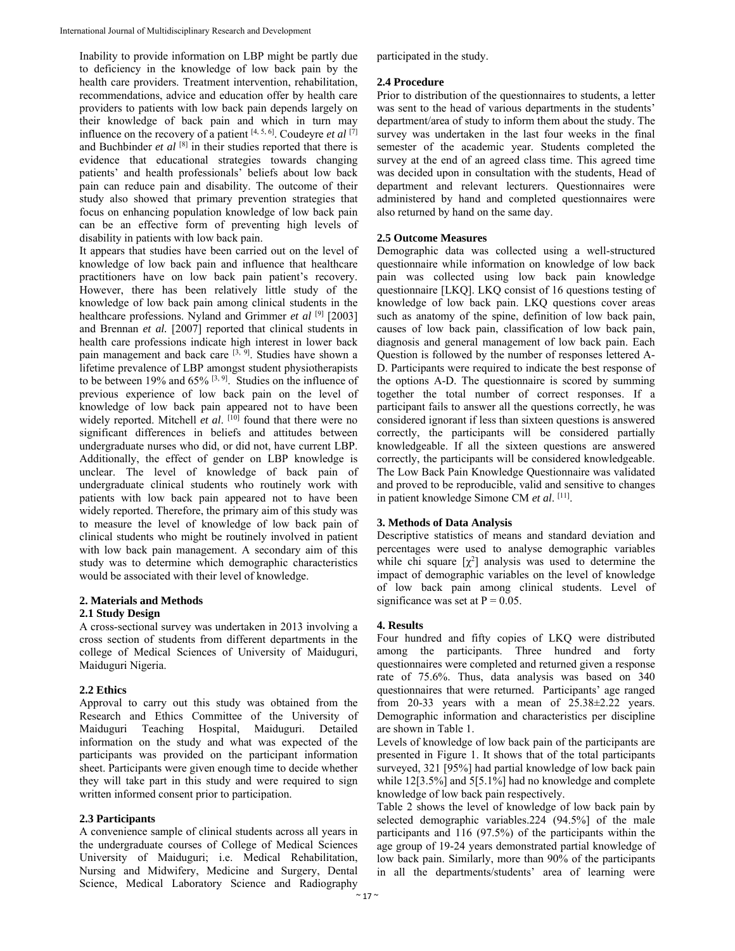Inability to provide information on LBP might be partly due to deficiency in the knowledge of low back pain by the health care providers. Treatment intervention, rehabilitation, recommendations, advice and education offer by health care providers to patients with low back pain depends largely on their knowledge of back pain and which in turn may influence on the recovery of a patient  $[4, 5, 6]$ . Coudeyre *et al*  $[7]$ and Buchbinder *et al* [8] in their studies reported that there is evidence that educational strategies towards changing patients' and health professionals' beliefs about low back pain can reduce pain and disability. The outcome of their study also showed that primary prevention strategies that focus on enhancing population knowledge of low back pain can be an effective form of preventing high levels of disability in patients with low back pain.

It appears that studies have been carried out on the level of knowledge of low back pain and influence that healthcare practitioners have on low back pain patient's recovery. However, there has been relatively little study of the knowledge of low back pain among clinical students in the healthcare professions. Nyland and Grimmer *et al* [9] [2003] and Brennan *et al.* [2007] reported that clinical students in health care professions indicate high interest in lower back pain management and back care  $[3, 9]$ . Studies have shown a lifetime prevalence of LBP amongst student physiotherapists to be between 19% and 65% [3, 9]. Studies on the influence of previous experience of low back pain on the level of knowledge of low back pain appeared not to have been widely reported. Mitchell *et al.* [10] found that there were no significant differences in beliefs and attitudes between undergraduate nurses who did, or did not, have current LBP. Additionally, the effect of gender on LBP knowledge is unclear. The level of knowledge of back pain of undergraduate clinical students who routinely work with patients with low back pain appeared not to have been widely reported. Therefore, the primary aim of this study was to measure the level of knowledge of low back pain of clinical students who might be routinely involved in patient with low back pain management. A secondary aim of this study was to determine which demographic characteristics would be associated with their level of knowledge.

## **2. Materials and Methods**

## **2.1 Study Design**

A cross-sectional survey was undertaken in 2013 involving a cross section of students from different departments in the college of Medical Sciences of University of Maiduguri, Maiduguri Nigeria.

## **2.2 Ethics**

Approval to carry out this study was obtained from the Research and Ethics Committee of the University of Maiduguri Teaching Hospital, Maiduguri. Detailed information on the study and what was expected of the participants was provided on the participant information sheet. Participants were given enough time to decide whether they will take part in this study and were required to sign written informed consent prior to participation.

## **2.3 Participants**

A convenience sample of clinical students across all years in the undergraduate courses of College of Medical Sciences University of Maiduguri; i.e. Medical Rehabilitation, Nursing and Midwifery, Medicine and Surgery, Dental Science, Medical Laboratory Science and Radiography participated in the study.

## **2.4 Procedure**

Prior to distribution of the questionnaires to students, a letter was sent to the head of various departments in the students' department/area of study to inform them about the study. The survey was undertaken in the last four weeks in the final semester of the academic year. Students completed the survey at the end of an agreed class time. This agreed time was decided upon in consultation with the students, Head of department and relevant lecturers. Questionnaires were administered by hand and completed questionnaires were also returned by hand on the same day.

## **2.5 Outcome Measures**

Demographic data was collected using a well-structured questionnaire while information on knowledge of low back pain was collected using low back pain knowledge questionnaire [LKQ]. LKQ consist of 16 questions testing of knowledge of low back pain. LKQ questions cover areas such as anatomy of the spine, definition of low back pain, causes of low back pain, classification of low back pain, diagnosis and general management of low back pain. Each Question is followed by the number of responses lettered A-D. Participants were required to indicate the best response of the options A-D. The questionnaire is scored by summing together the total number of correct responses. If a participant fails to answer all the questions correctly, he was considered ignorant if less than sixteen questions is answered correctly, the participants will be considered partially knowledgeable. If all the sixteen questions are answered correctly, the participants will be considered knowledgeable. The Low Back Pain Knowledge Questionnaire was validated and proved to be reproducible, valid and sensitive to changes in patient knowledge Simone CM *et al*. [11].

## **3. Methods of Data Analysis**

Descriptive statistics of means and standard deviation and percentages were used to analyse demographic variables while chi square  $[\chi^2]$  analysis was used to determine the impact of demographic variables on the level of knowledge of low back pain among clinical students. Level of significance was set at  $P = 0.05$ .

## **4. Results**

Four hundred and fifty copies of LKQ were distributed among the participants. Three hundred and forty questionnaires were completed and returned given a response rate of 75.6%. Thus, data analysis was based on 340 questionnaires that were returned. Participants' age ranged from 20-33 years with a mean of  $25.38\pm2.22$  years. Demographic information and characteristics per discipline are shown in Table 1.

Levels of knowledge of low back pain of the participants are presented in Figure 1. It shows that of the total participants surveyed, 321 [95%] had partial knowledge of low back pain while 12[3.5%] and 5[5.1%] had no knowledge and complete knowledge of low back pain respectively.

Table 2 shows the level of knowledge of low back pain by selected demographic variables.224 (94.5%] of the male participants and 116 (97.5%) of the participants within the age group of 19-24 years demonstrated partial knowledge of low back pain. Similarly, more than 90% of the participants in all the departments/students' area of learning were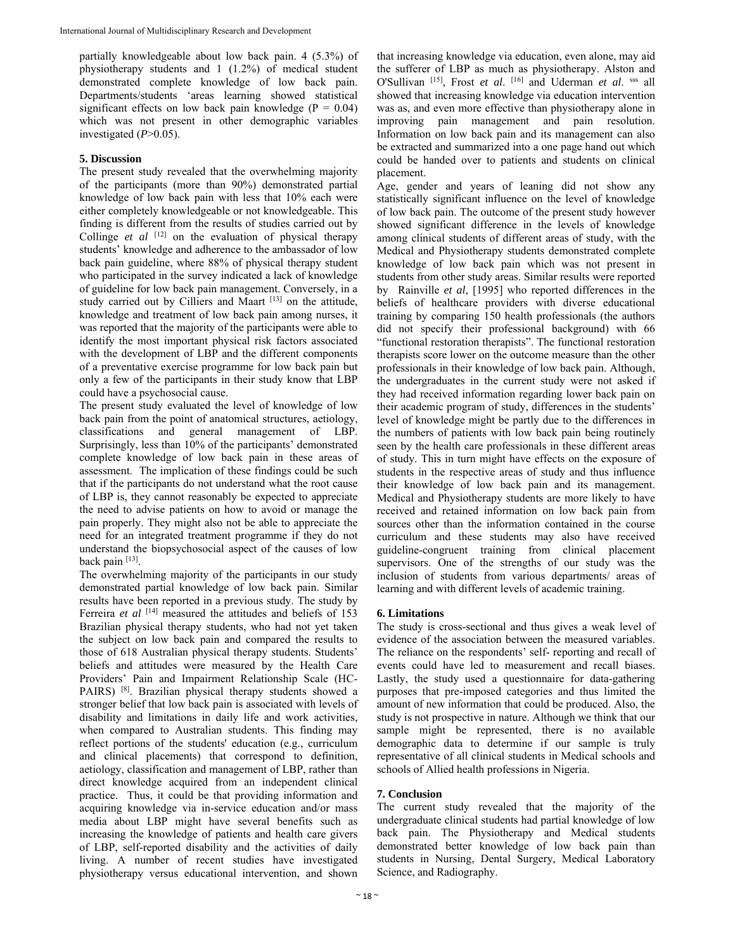partially knowledgeable about low back pain. 4 (5.3%) of physiotherapy students and 1 (1.2%) of medical student demonstrated complete knowledge of low back pain. Departments/students 'areas learning showed statistical significant effects on low back pain knowledge ( $P = 0.04$ ) which was not present in other demographic variables investigated  $(P>0.05)$ .

#### **5. Discussion**

The present study revealed that the overwhelming majority of the participants (more than 90%) demonstrated partial knowledge of low back pain with less that 10% each were either completely knowledgeable or not knowledgeable. This finding is different from the results of studies carried out by Collinge *et al* <sup>[12]</sup> on the evaluation of physical therapy students' knowledge and adherence to the ambassador of low back pain guideline, where 88% of physical therapy student who participated in the survey indicated a lack of knowledge of guideline for low back pain management. Conversely, in a study carried out by Cilliers and Maart [13] on the attitude, knowledge and treatment of low back pain among nurses, it was reported that the majority of the participants were able to identify the most important physical risk factors associated with the development of LBP and the different components of a preventative exercise programme for low back pain but only a few of the participants in their study know that LBP could have a psychosocial cause.

The present study evaluated the level of knowledge of low back pain from the point of anatomical structures, aetiology, classifications and general management of LBP. Surprisingly, less than 10% of the participants' demonstrated complete knowledge of low back pain in these areas of assessment. The implication of these findings could be such that if the participants do not understand what the root cause of LBP is, they cannot reasonably be expected to appreciate the need to advise patients on how to avoid or manage the pain properly. They might also not be able to appreciate the need for an integrated treatment programme if they do not understand the biopsychosocial aspect of the causes of low back pain [13].

The overwhelming majority of the participants in our study demonstrated partial knowledge of low back pain. Similar results have been reported in a previous study. The study by Ferreira *et al* [14] measured the attitudes and beliefs of 153 Brazilian physical therapy students, who had not yet taken the subject on low back pain and compared the results to those of 618 Australian physical therapy students. Students' beliefs and attitudes were measured by the Health Care Providers' Pain and Impairment Relationship Scale (HC-PAIRS) [8]. Brazilian physical therapy students showed a stronger belief that low back pain is associated with levels of disability and limitations in daily life and work activities, when compared to Australian students. This finding may reflect portions of the students' education (e.g., curriculum and clinical placements) that correspond to definition, aetiology, classification and management of LBP, rather than direct knowledge acquired from an independent clinical practice. Thus, it could be that providing information and acquiring knowledge via in-service education and/or mass media about LBP might have several benefits such as increasing the knowledge of patients and health care givers of LBP, self-reported disability and the activities of daily living. A number of recent studies have investigated physiotherapy versus educational intervention, and shown

that increasing knowledge via education, even alone, may aid the sufferer of LBP as much as physiotherapy. Alston and O'Sullivan [15], Frost *et al*. [16] and Uderman *et al*. sss all showed that increasing knowledge via education intervention was as, and even more effective than physiotherapy alone in improving pain management and pain resolution. Information on low back pain and its management can also be extracted and summarized into a one page hand out which could be handed over to patients and students on clinical placement.

Age, gender and years of leaning did not show any statistically significant influence on the level of knowledge of low back pain. The outcome of the present study however showed significant difference in the levels of knowledge among clinical students of different areas of study, with the Medical and Physiotherapy students demonstrated complete knowledge of low back pain which was not present in students from other study areas. Similar results were reported by Rainville *et al*, [1995] who reported differences in the beliefs of healthcare providers with diverse educational training by comparing 150 health professionals (the authors did not specify their professional background) with 66 "functional restoration therapists". The functional restoration therapists score lower on the outcome measure than the other professionals in their knowledge of low back pain. Although, the undergraduates in the current study were not asked if they had received information regarding lower back pain on their academic program of study, differences in the students' level of knowledge might be partly due to the differences in the numbers of patients with low back pain being routinely seen by the health care professionals in these different areas of study. This in turn might have effects on the exposure of students in the respective areas of study and thus influence their knowledge of low back pain and its management. Medical and Physiotherapy students are more likely to have received and retained information on low back pain from sources other than the information contained in the course curriculum and these students may also have received guideline-congruent training from clinical placement supervisors. One of the strengths of our study was the inclusion of students from various departments/ areas of learning and with different levels of academic training.

#### **6. Limitations**

The study is cross-sectional and thus gives a weak level of evidence of the association between the measured variables. The reliance on the respondents' self- reporting and recall of events could have led to measurement and recall biases. Lastly, the study used a questionnaire for data-gathering purposes that pre-imposed categories and thus limited the amount of new information that could be produced. Also, the study is not prospective in nature. Although we think that our sample might be represented, there is no available demographic data to determine if our sample is truly representative of all clinical students in Medical schools and schools of Allied health professions in Nigeria.

## **7. Conclusion**

The current study revealed that the majority of the undergraduate clinical students had partial knowledge of low back pain. The Physiotherapy and Medical students demonstrated better knowledge of low back pain than students in Nursing, Dental Surgery, Medical Laboratory Science, and Radiography.